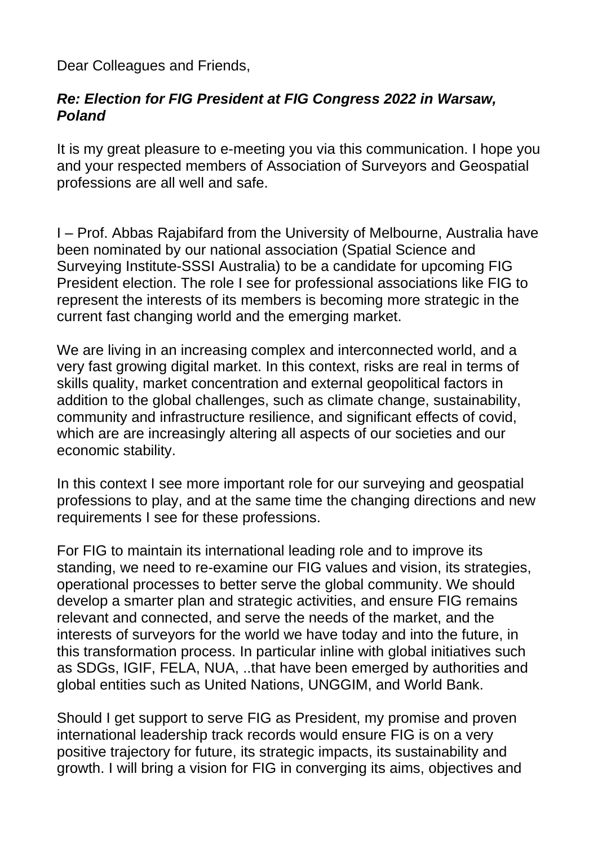Dear Colleagues and Friends,

## *Re: Election for FIG President at FIG Congress 2022 in Warsaw, Poland*

It is my great pleasure to e-meeting you via this communication. I hope you and your respected members of Association of Surveyors and Geospatial professions are all well and safe.

I – Prof. Abbas Rajabifard from the University of Melbourne, Australia have been nominated by our national association (Spatial Science and Surveying Institute-SSSI Australia) to be a candidate for upcoming FIG President election. The role I see for professional associations like FIG to represent the interests of its members is becoming more strategic in the current fast changing world and the emerging market.

We are living in an increasing complex and interconnected world, and a very fast growing digital market. In this context, risks are real in terms of skills quality, market concentration and external geopolitical factors in addition to the global challenges, such as climate change, sustainability, community and infrastructure resilience, and significant effects of covid, which are are increasingly altering all aspects of our societies and our economic stability.

In this context I see more important role for our surveying and geospatial professions to play, and at the same time the changing directions and new requirements I see for these professions.

For FIG to maintain its international leading role and to improve its standing, we need to re-examine our FIG values and vision, its strategies, operational processes to better serve the global community. We should develop a smarter plan and strategic activities, and ensure FIG remains relevant and connected, and serve the needs of the market, and the interests of surveyors for the world we have today and into the future, in this transformation process. In particular inline with global initiatives such as SDGs, IGIF, FELA, NUA, ..that have been emerged by authorities and global entities such as United Nations, UNGGIM, and World Bank.

Should I get support to serve FIG as President, my promise and proven international leadership track records would ensure FIG is on a very positive trajectory for future, its strategic impacts, its sustainability and growth. I will bring a vision for FIG in converging its aims, objectives and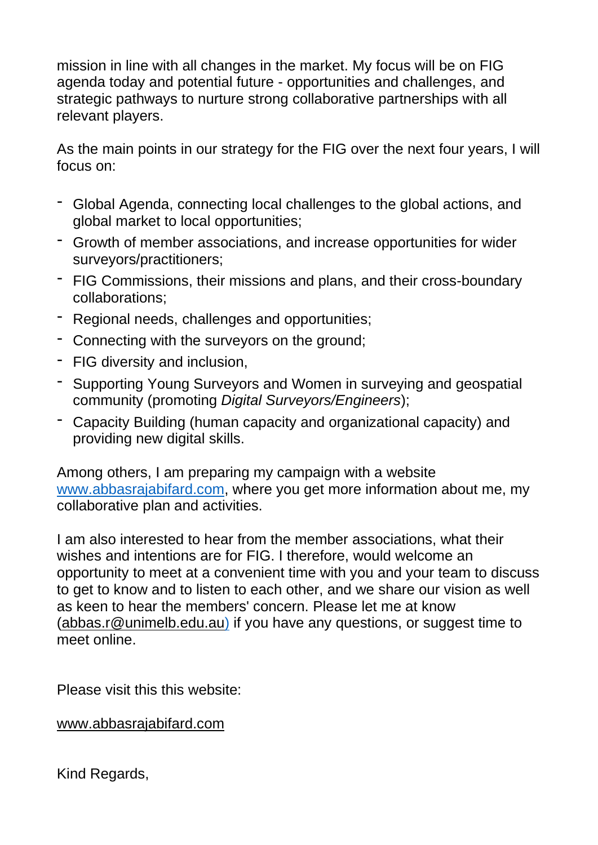mission in line with all changes in the market. My focus will be on FIG agenda today and potential future - opportunities and challenges, and strategic pathways to nurture strong collaborative partnerships with all relevant players.

As the main points in our strategy for the FIG over the next four years, I will focus on:

- Global Agenda, connecting local challenges to the global actions, and global market to local opportunities;
- Growth of member associations, and increase opportunities for wider surveyors/practitioners;
- FIG Commissions, their missions and plans, and their cross-boundary collaborations;
- Regional needs, challenges and opportunities;
- Connecting with the surveyors on the ground;
- FIG diversity and inclusion,
- Supporting Young Surveyors and Women in surveying and geospatial community (promoting *Digital Surveyors/Engineers*);
- Capacity Building (human capacity and organizational capacity) and providing new digital skills.

Among others, I am preparing my campaign with a website [www.abbasrajabifard.com,](https://protect-au.mimecast.com/s/pYT4CNLwzjF08l3Kmh4xhgs?domain=abbasrajabifard.com) where you get more information about me, my collaborative plan and activities.

I am also interested to hear from the member associations, what their wishes and intentions are for FIG. I therefore, would welcome an opportunity to meet at a convenient time with you and your team to discuss to get to know and to listen to each other, and we share our vision as well as keen to hear the members' concern. Please let me at know [\(abbas.r@unimelb.edu.au\)](mailto:abbas.r@unimelb.edu.au) if you have any questions, or suggest time to meet online.

Please visit this this website:

[www.abbasrajabifard.com](http://www.abbasrajabifard.com/)

Kind Regards,